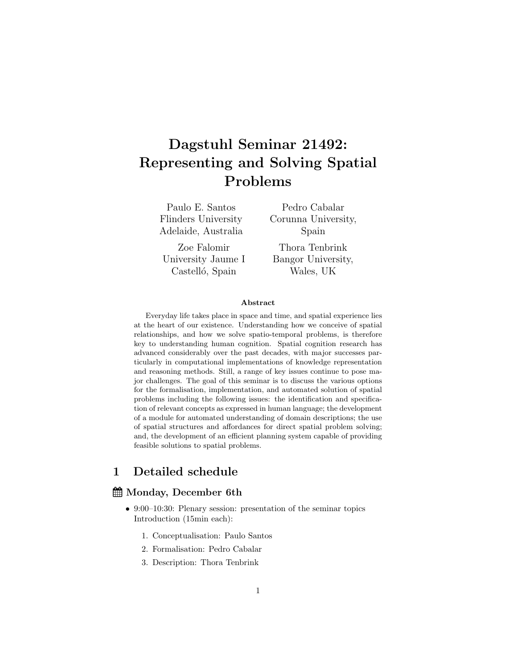# Dagstuhl Seminar 21492: Representing and Solving Spatial Problems

Paulo E. Santos Flinders University Adelaide, Australia

Zoe Falomir University Jaume I Castelló, Spain

Pedro Cabalar Corunna University, Spain

Thora Tenbrink Bangor University, Wales, UK

#### Abstract

Everyday life takes place in space and time, and spatial experience lies at the heart of our existence. Understanding how we conceive of spatial relationships, and how we solve spatio-temporal problems, is therefore key to understanding human cognition. Spatial cognition research has advanced considerably over the past decades, with major successes particularly in computational implementations of knowledge representation and reasoning methods. Still, a range of key issues continue to pose major challenges. The goal of this seminar is to discuss the various options for the formalisation, implementation, and automated solution of spatial problems including the following issues: the identification and specification of relevant concepts as expressed in human language; the development of a module for automated understanding of domain descriptions; the use of spatial structures and affordances for direct spatial problem solving; and, the development of an efficient planning system capable of providing feasible solutions to spatial problems.

# 1 Detailed schedule

### Monday, December 6th

- 9:00–10:30: Plenary session: presentation of the seminar topics Introduction (15min each):
	- 1. Conceptualisation: Paulo Santos
	- 2. Formalisation: Pedro Cabalar
	- 3. Description: Thora Tenbrink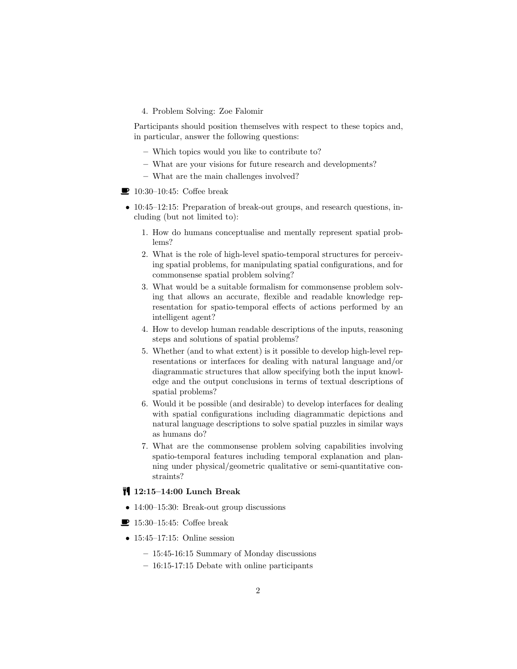4. Problem Solving: Zoe Falomir

Participants should position themselves with respect to these topics and, in particular, answer the following questions:

- Which topics would you like to contribute to?
- What are your visions for future research and developments?
- What are the main challenges involved?
- $\blacksquare$  10:30–10:45: Coffee break
- 10:45–12:15: Preparation of break-out groups, and research questions, including (but not limited to):
	- 1. How do humans conceptualise and mentally represent spatial problems?
	- 2. What is the role of high-level spatio-temporal structures for perceiving spatial problems, for manipulating spatial configurations, and for commonsense spatial problem solving?
	- 3. What would be a suitable formalism for commonsense problem solving that allows an accurate, flexible and readable knowledge representation for spatio-temporal effects of actions performed by an intelligent agent?
	- 4. How to develop human readable descriptions of the inputs, reasoning steps and solutions of spatial problems?
	- 5. Whether (and to what extent) is it possible to develop high-level representations or interfaces for dealing with natural language and/or diagrammatic structures that allow specifying both the input knowledge and the output conclusions in terms of textual descriptions of spatial problems?
	- 6. Would it be possible (and desirable) to develop interfaces for dealing with spatial configurations including diagrammatic depictions and natural language descriptions to solve spatial puzzles in similar ways as humans do?
	- 7. What are the commonsense problem solving capabilities involving spatio-temporal features including temporal explanation and planning under physical/geometric qualitative or semi-quantitative constraints?

#### 12:15–14:00 Lunch Break

- 14:00–15:30: Break-out group discussions
- $\blacksquare$  15:30–15:45: Coffee break
- 15:45–17:15: Online session
	- 15:45-16:15 Summary of Monday discussions
	- 16:15-17:15 Debate with online participants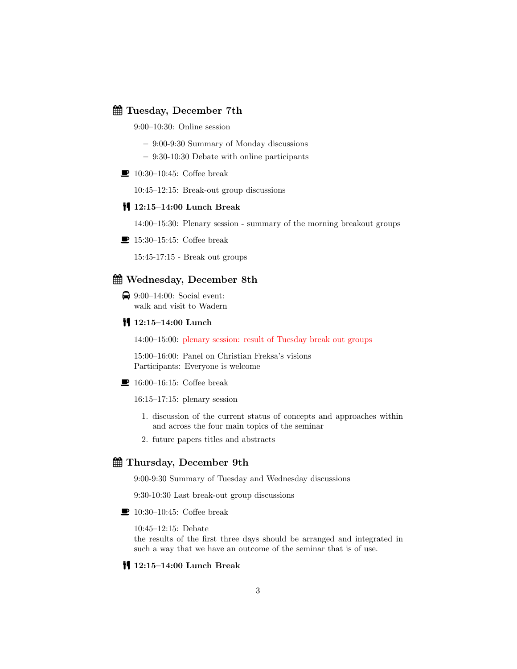#### Tuesday, December 7th

9:00–10:30: Online session

- 9:00-9:30 Summary of Monday discussions
- 9:30-10:30 Debate with online participants
- $\blacksquare$  10:30–10:45: Coffee break

10:45–12:15: Break-out group discussions

#### 12:15–14:00 Lunch Break

14:00–15:30: Plenary session - summary of the morning breakout groups

 $\blacksquare$  15:30–15:45: Coffee break

15:45-17:15 - Break out groups

## Wednesday, December 8th

 $\bigoplus$  9:00–14:00: Social event: walk and visit to Wadern

### **12:15-14:00 Lunch**

14:00–15:00: plenary session: result of Tuesday break out groups

15:00–16:00: Panel on Christian Freksa's visions Participants: Everyone is welcome

 $\blacksquare$  16:00–16:15: Coffee break

16:15–17:15: plenary session

- 1. discussion of the current status of concepts and approaches within and across the four main topics of the seminar
- 2. future papers titles and abstracts

### Thursday, December 9th

9:00-9:30 Summary of Tuesday and Wednesday discussions

9:30-10:30 Last break-out group discussions

 $\blacksquare$  10:30–10:45: Coffee break

10:45–12:15: Debate

the results of the first three days should be arranged and integrated in such a way that we have an outcome of the seminar that is of use.

#### 12:15–14:00 Lunch Break